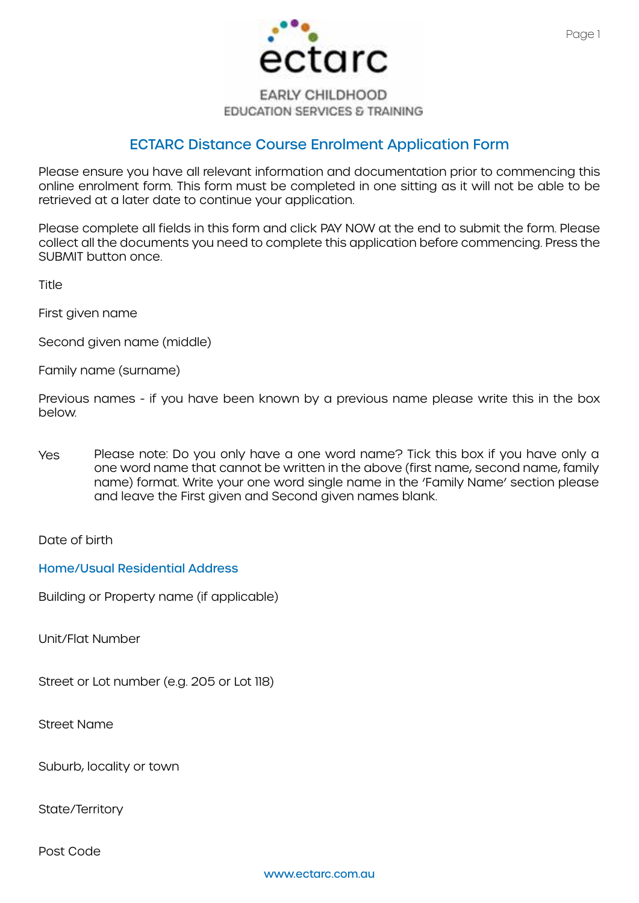

### **EARLY CHILDHOOD EDUCATION SERVICES & TRAINING**

# ECTARC Distance Course Enrolment Application Form

Please ensure you have all relevant information and documentation prior to commencing this online enrolment form. This form must be completed in one sitting as it will not be able to be retrieved at a later date to continue your application.

Please complete all fields in this form and click PAY NOW at the end to submit the form. Please collect all the documents you need to complete this application before commencing. Press the SUBMIT button once.

**Title** 

First given name

Second given name (middle)

Family name (surname)

Previous names - if you have been known by a previous name please write this in the box below.

Yes Please note: Do you only have a one word name? Tick this box if you have only a one word name that cannot be written in the above (first name, second name, family name) format. Write your one word single name in the 'Family Name' section please and leave the First given and Second given names blank.

Date of birth

Home/Usual Residential Address

Building or Property name (if applicable)

Unit/Flat Number

Street or Lot number (e.g. 205 or Lot 118)

Street Name

Suburb, locality or town

State/Territory

Post Code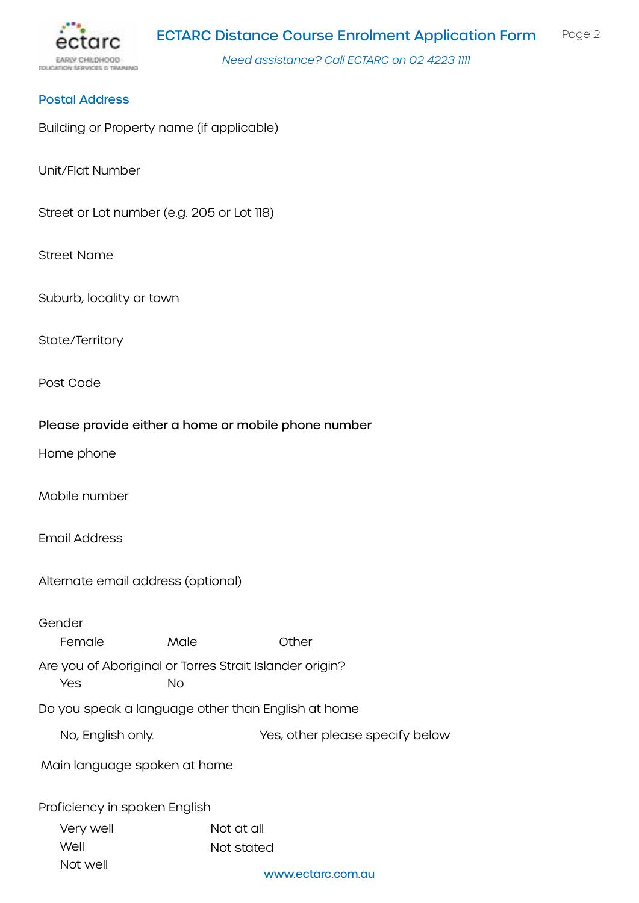

#### Postal Address

Building or Property name (if applicable)

Unit/Flat Number

Street or Lot number (e.g. 205 or Lot 118)

Street Name

Suburb, locality or town

State/Territory

Post Code

#### Please provide either a home or mobile phone number

Home phone

Mobile number

Email Address

Alternate email address (optional)

Gender Are you of Aboriginal or Torres Strait Islander origin? Do you speak a language other than English at home Proficiency in spoken English Female Male Other Yes No Very well Well Not well Not at all Not stated No, English only. Yes, other please specify below Main language spoken at home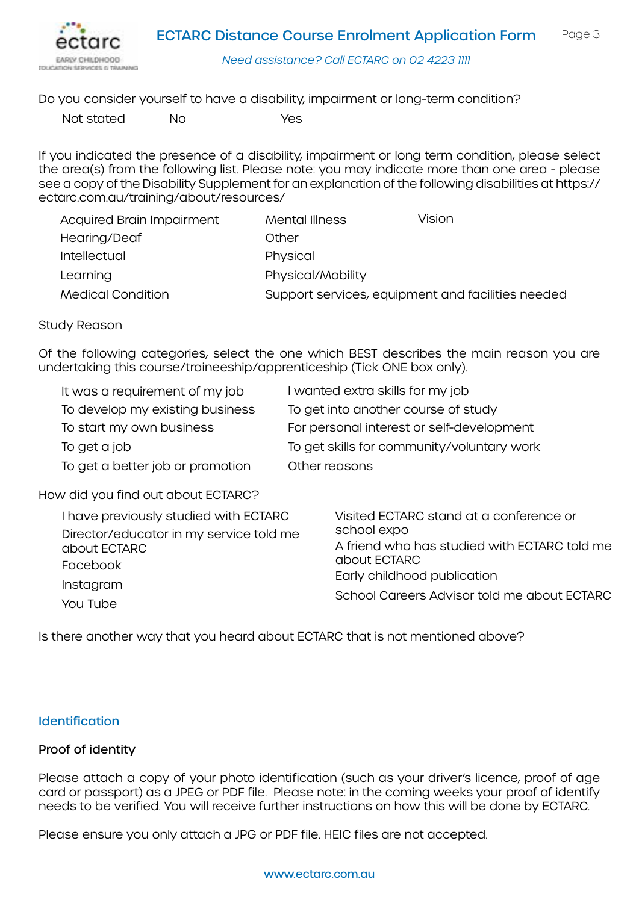



Do you consider yourself to have a disability, impairment or long-term condition?

Not stated No Yes

If you indicated the presence of a disability, impairment or long term condition, please select the area(s) from the following list. Please note: you may indicate more than one area - please see a copy of the Disability Supplement for an explanation of the following disabilities at [https://](https://ectarc.com.au/training/about/resources/) [ectarc.com.au/training/about/resources/](https://ectarc.com.au/training/about/resources/)

| <b>Acquired Brain Impairment</b> | Mental Illness                                    | Vision |
|----------------------------------|---------------------------------------------------|--------|
| Hearing/Deaf                     | Other                                             |        |
| Intellectual                     | Physical                                          |        |
| Learning                         | Physical/Mobility                                 |        |
| <b>Medical Condition</b>         | Support services, equipment and facilities needed |        |

#### Study Reason

Of the following categories, select the one which BEST describes the main reason you are undertaking this course/traineeship/apprenticeship (Tick ONE box only).

| It was a requirement of my job   | I wanted extra skills for my job           |
|----------------------------------|--------------------------------------------|
| To develop my existing business  | To get into another course of study        |
| To start my own business         | For personal interest or self-development  |
| To get a job                     | To get skills for community/voluntary work |
| To get a better job or promotion | Other reasons                              |

# How did you find out about ECTARC?

| I have previously studied with ECTARC<br>Director/educator in my service told me<br>about ECTARC<br>Facebook<br>Instagram | Visited ECTARC stand at a conference or<br>school expo<br>A friend who has studied with ECTARC told me<br>about ECTARC<br>Early childhood publication<br>School Careers Advisor told me about ECTARC |  |
|---------------------------------------------------------------------------------------------------------------------------|------------------------------------------------------------------------------------------------------------------------------------------------------------------------------------------------------|--|
| You Tube                                                                                                                  |                                                                                                                                                                                                      |  |

Is there another way that you heard about ECTARC that is not mentioned above?

#### **Identification**

#### Proof of identity

Please attach a copy of your photo identification (such as your driver's licence, proof of age card or passport) as a JPEG or PDF file. Please note: in the coming weeks your proof of identify needs to be verified. You will receive further instructions on how this will be done by ECTARC.

Please ensure you only attach a JPG or PDF file. HEIC files are not accepted.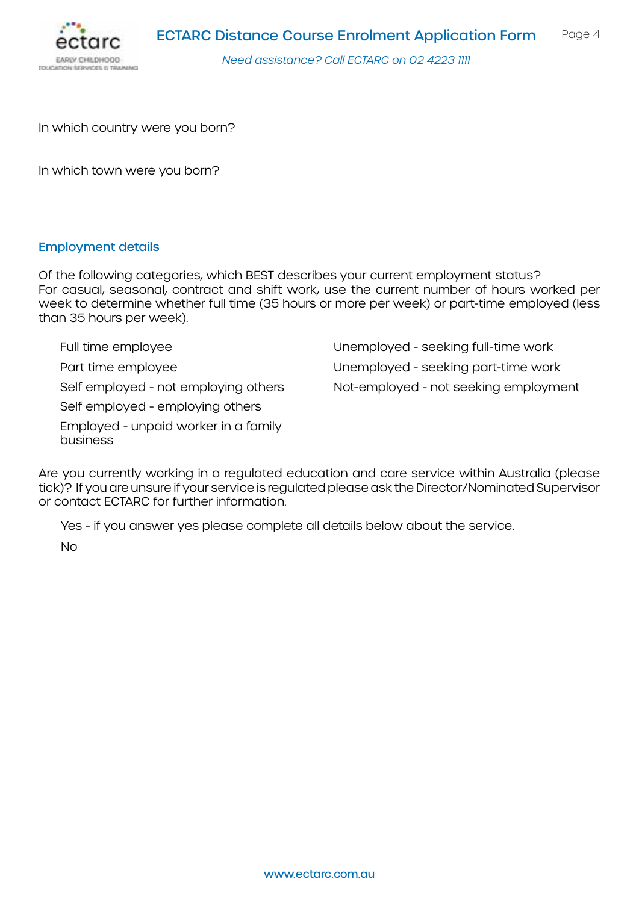



In which country were you born?

In which town were you born?

#### Employment details

Of the following categories, which BEST describes your current employment status? For casual, seasonal, contract and shift work, use the current number of hours worked per week to determine whether full time (35 hours or more per week) or part-time employed (less than 35 hours per week).

Full time employee Part time employee Self employed - not employing others Self employed - employing others Employed - unpaid worker in a family business Unemployed - seeking full-time work Unemployed - seeking part-time work Not-employed - not seeking employment

Are you currently working in a regulated education and care service within Australia (please tick)? If you are unsure if your service is regulated please ask the Director/Nominated Supervisor or contact ECTARC for further information.

Yes - if you answer yes please complete all details below about the service.

No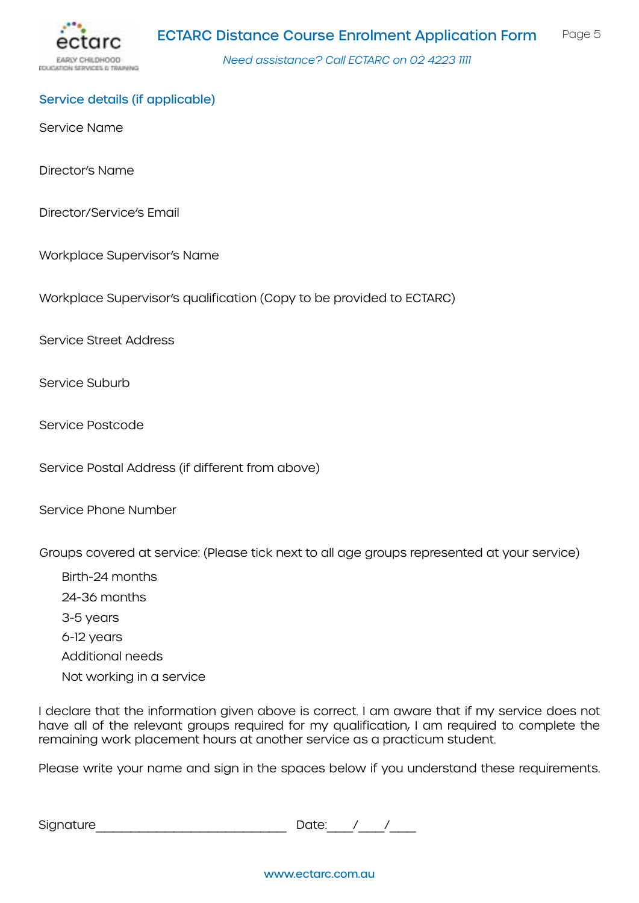

### Service details (if applicable)

Service Name

Director's Name

Director/Service's Email

Workplace Supervisor's Name

Workplace Supervisor's qualification (Copy to be provided to ECTARC)

Service Street Address

Service Suburb

Service Postcode

Service Postal Address (if different from above)

Service Phone Number

Groups covered at service: (Please tick next to all age groups represented at your service)

Birth-24 months 24-36 months 3-5 years 6-12 years Additional needs Not working in a service

I declare that the information given above is correct. I am aware that if my service does not have all of the relevant groups required for my qualification, I am required to complete the remaining work placement hours at another service as a practicum student.

Please write your name and sign in the spaces below if you understand these requirements.

Signature\_\_\_\_\_\_\_\_\_\_\_\_\_\_\_\_\_\_\_\_\_\_ Date:\_\_\_/\_\_\_/\_\_\_

www.ectarc.com.au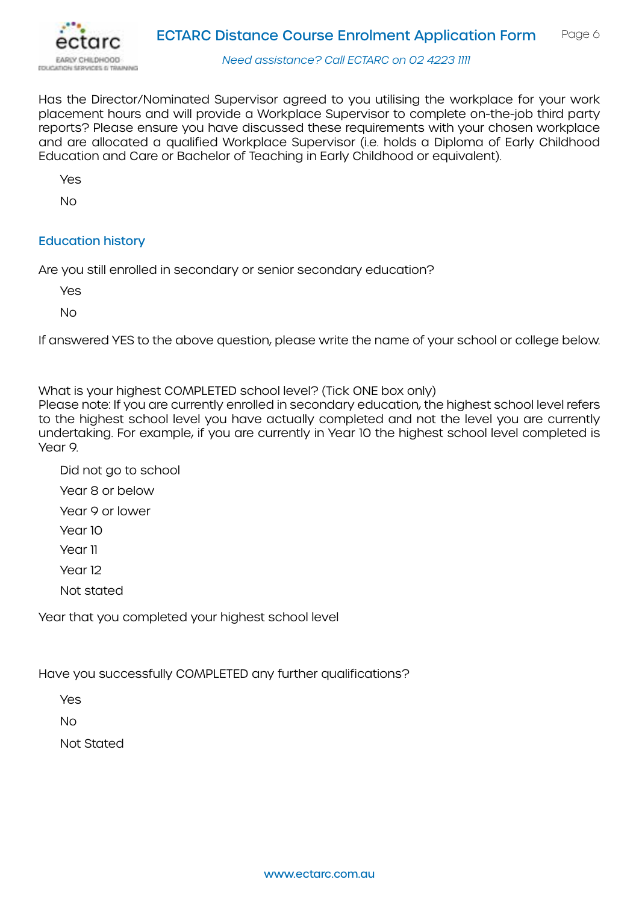

Has the Director/Nominated Supervisor agreed to you utilising the workplace for your work placement hours and will provide a Workplace Supervisor to complete on-the-job third party reports? Please ensure you have discussed these requirements with your chosen workplace and are allocated a qualified Workplace Supervisor (i.e. holds a Diploma of Early Childhood Education and Care or Bachelor of Teaching in Early Childhood or equivalent).

Yes

No

# Education history

Are you still enrolled in secondary or senior secondary education?

Yes

No

If answered YES to the above question, please write the name of your school or college below.

What is your highest COMPLETED school level? (Tick ONE box only)

Please note: If you are currently enrolled in secondary education, the highest school level refers to the highest school level you have actually completed and not the level you are currently undertaking. For example, if you are currently in Year 10 the highest school level completed is Year 9.

- Did not go to school
- Year 8 or below
- Year 9 or lower
- Year 10
- Year 11
- Year 12
- Not stated

Year that you completed your highest school level

Have you successfully COMPLETED any further qualifications?

Yes

No

Not Stated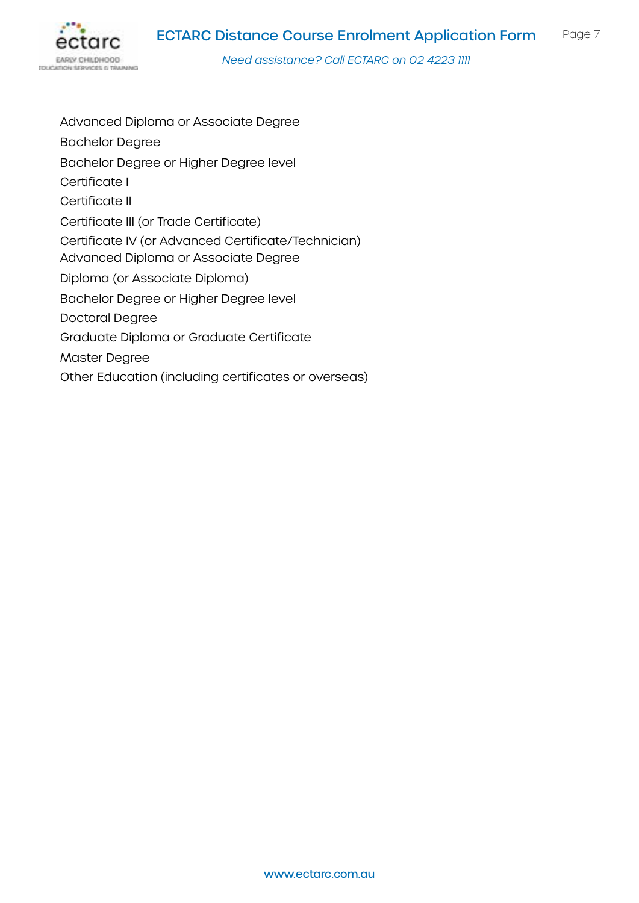

Advanced Diploma or Associate Degree Bachelor Degree Bachelor Degree or Higher Degree level Certificate I Certificate II Certificate III (or Trade Certificate) Certificate IV (or Advanced Certificate/Technician) Advanced Diploma or Associate Degree Diploma (or Associate Diploma) Bachelor Degree or Higher Degree level Doctoral Degree Graduate Diploma or Graduate Certificate Master Degree Other Education (including certificates or overseas)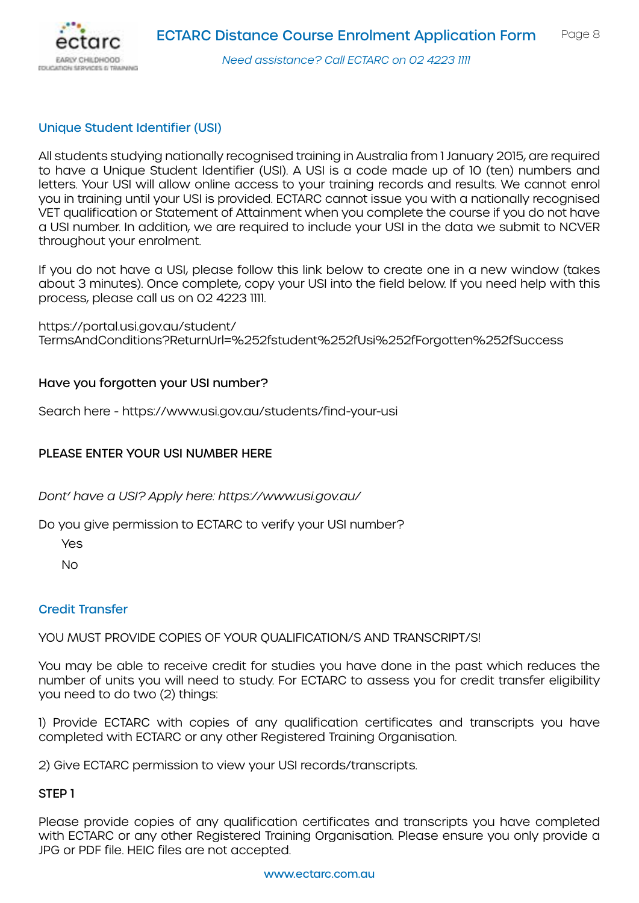

# Unique Student Identifier (USI)

All students studying nationally recognised training in Australia from 1 January 2015, are required to have a Unique Student Identifier (USI). A USI is a code made up of 10 (ten) numbers and letters. Your USI will allow online access to your training records and results. We cannot enrol you in training until your USI is provided. ECTARC cannot issue you with a nationally recognised VET qualification or Statement of Attainment when you complete the course if you do not have a USI number. In addition, we are required to include your USI in the data we submit to NCVER throughout your enrolment.

If you do not have a USI, please follow this link below to create one in a new window (takes about 3 minutes). Once complete, copy your USI into the field below. If you need help with this process, please call us on 02 4223 1111.

[https://portal.usi.gov.au/student/](https://portal.usi.gov.au/student/TermsAndConditions?ReturnUrl=%252fstudent%252fUsi%252fForgotten%25) [TermsAndConditions?ReturnUrl=%252fstudent%252fUsi%252fForgotten%252fSuccess](https://portal.usi.gov.au/student/TermsAndConditions?ReturnUrl=%252fstudent%252fUsi%252fForgotten%25) 

# Have you forgotten your USI number?

Search here - <https://www.usi.gov.au/students/find-your-usi>

# PLEASE ENTER YOUR USI NUMBER HERE

*Dont' have a USI? Apply here: <https://www.usi.gov.au/>*

Do you give permission to ECTARC to verify your USI number?

Yes

No

#### Credit Transfer

YOU MUST PROVIDE COPIES OF YOUR OUALIFICATION/S AND TRANSCRIPT/S!

You may be able to receive credit for studies you have done in the past which reduces the number of units you will need to study. For ECTARC to assess you for credit transfer eligibility you need to do two (2) things:

1) Provide ECTARC with copies of any qualification certificates and transcripts you have completed with ECTARC or any other Registered Training Organisation.

2) Give ECTARC permission to view your USI records/transcripts.

### STEP 1

Please provide copies of any qualification certificates and transcripts you have completed with ECTARC or any other Registered Training Organisation. Please ensure you only provide a JPG or PDF file. HEIC files are not accepted.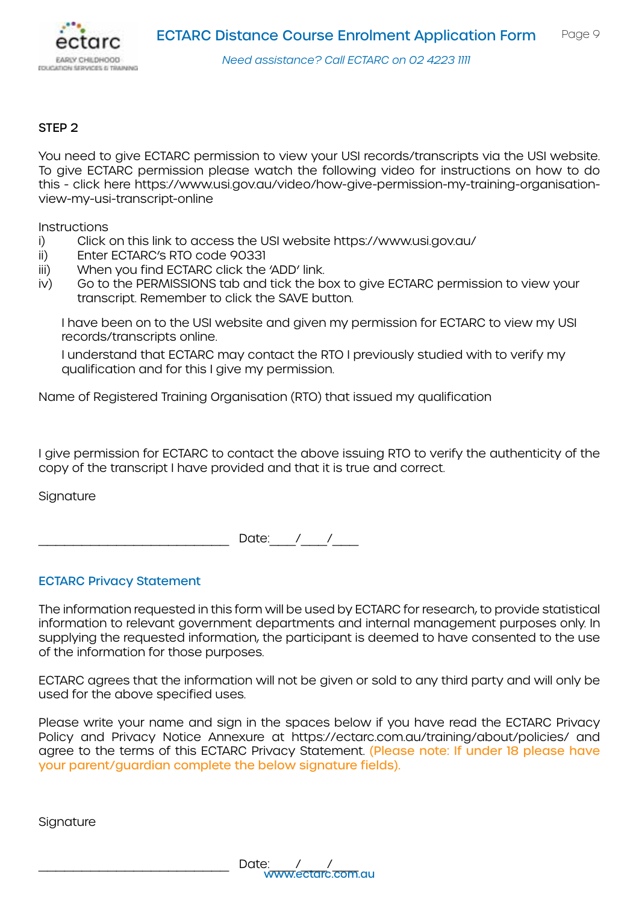

### STEP 2

You need to give ECTARC permission to view your USI records/transcripts via the USI website. To give ECTARC permission please watch the following video for instructions on how to do this - click here [https://www.usi.gov.au/video/how-give-permission-my-training-organisation](https://www.usi.gov.au/video/how-give-permission-my-training-organisation-view-my-usi-transcript-onl)[view-my-usi-transcript-online](https://www.usi.gov.au/video/how-give-permission-my-training-organisation-view-my-usi-transcript-onl)

**Instructions** 

- i) Click on this link to access the USI website<https://www.usi.gov.au/>
- ii) Enter ECTARC's RTO code 90331
- iii) When you find ECTARC click the 'ADD' link.
- iv) Go to the PERMISSIONS tab and tick the box to give ECTARC permission to view your transcript. Remember to click the SAVE button.

I have been on to the USI website and given my permission for ECTARC to view my USI records/transcripts online.

I understand that ECTARC may contact the RTO I previously studied with to verify my qualification and for this I give my permission.

Name of Registered Training Organisation (RTO) that issued my qualification

I give permission for ECTARC to contact the above issuing RTO to verify the authenticity of the copy of the transcript I have provided and that it is true and correct.

**Signature** 

Date:  $/$  /

#### ECTARC Privacy Statement

The information requested in this form will be used by ECTARC for research, to provide statistical information to relevant government departments and internal management purposes only. In supplying the requested information, the participant is deemed to have consented to the use of the information for those purposes.

ECTARC agrees that the information will not be given or sold to any third party and will only be used for the above specified uses.

Please write your name and sign in the spaces below if you have read the ECTARC Privacy Policy and Privacy Notice Annexure at [https://ectarc.com.au/training/about/policies/](https://ectarc.com.au/training/about/policies/ ) and agree to the terms of this ECTARC Privacy Statement. (Please note: If under 18 please have your parent/guardian complete the below signature fields).

#### **Signature**

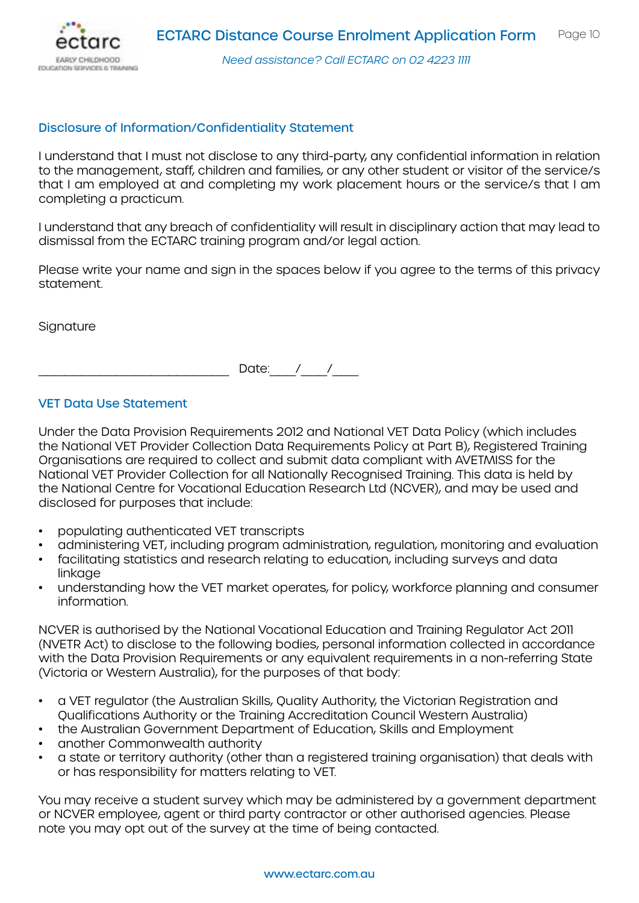

### Disclosure of Information/Confidentiality Statement

I understand that I must not disclose to any third-party, any confidential information in relation to the management, staff, children and families, or any other student or visitor of the service/s that I am employed at and completing my work placement hours or the service/s that I am completing a practicum.

I understand that any breach of confidentiality will result in disciplinary action that may lead to dismissal from the ECTARC training program and/or legal action.

Please write your name and sign in the spaces below if you agree to the terms of this privacy statement.

**Signature** 

Date:  $/$  /

### VET Data Use Statement

Under the Data Provision Requirements 2012 and National VET Data Policy (which includes the National VET Provider Collection Data Requirements Policy at Part B), Registered Training Organisations are required to collect and submit data compliant with AVETMISS for the National VET Provider Collection for all Nationally Recognised Training. This data is held by the National Centre for Vocational Education Research Ltd (NCVER), and may be used and disclosed for purposes that include:

- populating authenticated VET transcripts
- administering VET, including program administration, regulation, monitoring and evaluation
- facilitating statistics and research relating to education, including surveys and data linkaae
- understanding how the VET market operates, for policy, workforce planning and consumer information.

NCVER is authorised by the National Vocational Education and Training Regulator Act 2011 (NVETR Act) to disclose to the following bodies, personal information collected in accordance with the Data Provision Requirements or any equivalent requirements in a non-referring State (Victoria or Western Australia), for the purposes of that body:

- a VET regulator (the Australian Skills, Quality Authority, the Victorian Registration and Qualifications Authority or the Training Accreditation Council Western Australia)
- the Australian Government Department of Education, Skills and Employment
- another Commonwealth authority
- a state or territory authority (other than a registered training organisation) that deals with or has responsibility for matters relating to VET.

You may receive a student survey which may be administered by a government department or NCVER employee, agent or third party contractor or other authorised agencies. Please note you may opt out of the survey at the time of being contacted.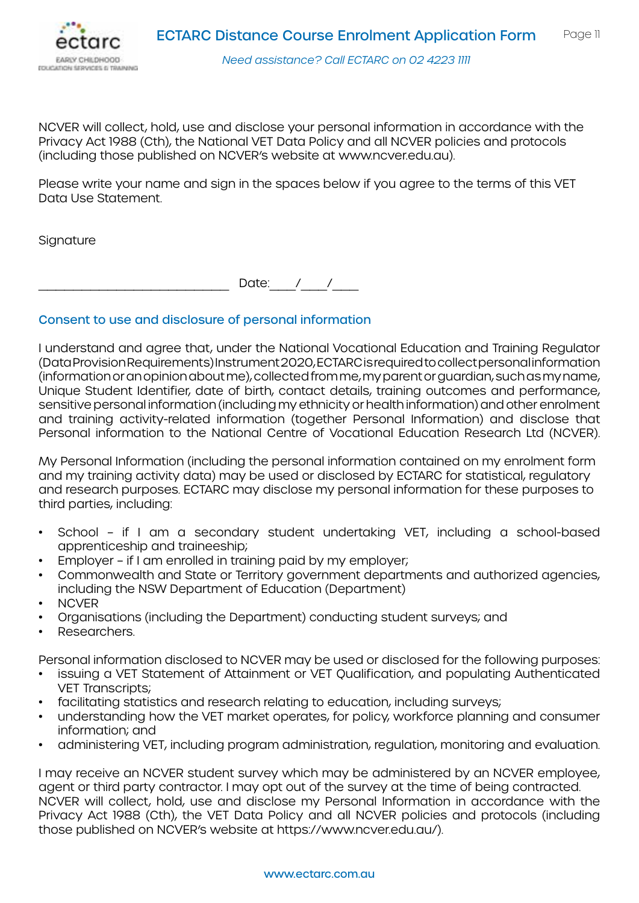

NCVER will collect, hold, use and disclose your personal information in accordance with the Privacy Act 1988 (Cth), the National VET Data Policy and all NCVER policies and protocols (including those published on NCVER's website at [www.ncver.edu.au](http://www.ncver.edu.au)).

Please write your name and sign in the spaces below if you agree to the terms of this VET Data Use Statement.

**Signature** 

Date:  $/$  /

# Consent to use and disclosure of personal information

I understand and agree that, under the National Vocational Education and Training Regulator (Data Provision Requirements) Instrument 2020, ECTARC is required to collect personal information (information or an opinion about me), collected from me, my parent or guardian, such as my name, Unique Student Identifier, date of birth, contact details, training outcomes and performance, sensitive personal information (including my ethnicity or health information) and other enrolment and training activity-related information (together Personal Information) and disclose that Personal information to the National Centre of Vocational Education Research Ltd (NCVER).

My Personal Information (including the personal information contained on my enrolment form and my training activity data) may be used or disclosed by ECTARC for statistical, regulatory and research purposes. ECTARC may disclose my personal information for these purposes to third parties, including:

- School if I am a secondary student undertaking VET, including a school-based apprenticeship and traineeship;
- Employer if I am enrolled in training paid by my employer;
- Commonwealth and State or Territory government departments and authorized agencies, including the NSW Department of Education (Department)
- NCVER
- Organisations (including the Department) conducting student surveys; and
- Researchers.

Personal information disclosed to NCVER may be used or disclosed for the following purposes:

- issuing a VET Statement of Attainment or VET Qualification, and populating Authenticated VET Transcripts;
- facilitating statistics and research relating to education, including surveys;
- understanding how the VET market operates, for policy, workforce planning and consumer information; and
- administering VET, including program administration, regulation, monitoring and evaluation.

I may receive an NCVER student survey which may be administered by an NCVER employee, agent or third party contractor. I may opt out of the survey at the time of being contracted. NCVER will collect, hold, use and disclose my Personal Information in accordance with the Privacy Act 1988 (Cth), the VET Data Policy and all NCVER policies and protocols (including those published on NCVER's website at [https://www.ncver.edu.au/\)](https://www.ncver.edu.au/).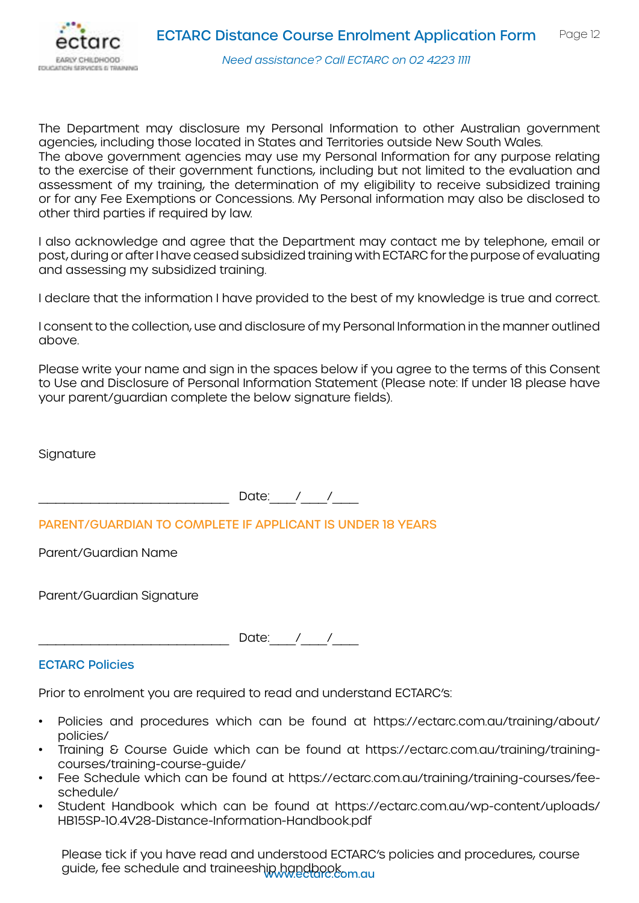

The Department may disclosure my Personal Information to other Australian government agencies, including those located in States and Territories outside New South Wales. The above government agencies may use my Personal Information for any purpose relating to the exercise of their government functions, including but not limited to the evaluation and assessment of my training, the determination of my eligibility to receive subsidized training or for any Fee Exemptions or Concessions. My Personal information may also be disclosed to other third parties if required by law.

I also acknowledge and agree that the Department may contact me by telephone, email or post, during or after I have ceased subsidized training with ECTARC for the purpose of evaluating and assessing my subsidized training.

I declare that the information I have provided to the best of my knowledge is true and correct.

I consent to the collection, use and disclosure of my Personal Information in the manner outlined above.

Please write your name and sign in the spaces below if you agree to the terms of this Consent to Use and Disclosure of Personal Information Statement (Please note: If under 18 please have your parent/guardian complete the below signature fields).

**Signature** 

 $\Box$  Date:  $\Box$  /  $\Box$ 

PARENT/GUARDIAN TO COMPLETE IF APPLICANT IS UNDER 18 YEARS

Parent/Guardian Name

Parent/Guardian Signature

Date: / /

ECTARC Policies

Prior to enrolment you are required to read and understand ECTARC's:

- Policies and procedures which can be found at [https://ectarc.com.au/training/about/](https://ectarc.com.au/training/about/policies/ ) [policies/](https://ectarc.com.au/training/about/policies/ )
- Training & Course Guide which can be found at [https://ectarc.com.au/training/training](https://ectarc.com.au/training/training-courses/training-course-guide/ )[courses/training-course-guide/](https://ectarc.com.au/training/training-courses/training-course-guide/ )
- Fee Schedule which can be found at [https://ectarc.com.au/training/training-courses/fee](https://ectarc.com.au/training/training-courses/fee-schedule/ )[schedule/](https://ectarc.com.au/training/training-courses/fee-schedule/ )
- Student Handbook which can be found at [https://ectarc.com.au/wp-content/uploads/](https://ectarc.com.au/wp-content/uploads/HB15SP-10.4V28-Distance-Information-Handbook.pdf) [HB15SP-10.4V28-Distance-Information-Handbook.pdf](https://ectarc.com.au/wp-content/uploads/HB15SP-10.4V28-Distance-Information-Handbook.pdf)

guide, fee schedule and traineeship handbook. Please tick if you have read and understood ECTARC's policies and procedures, course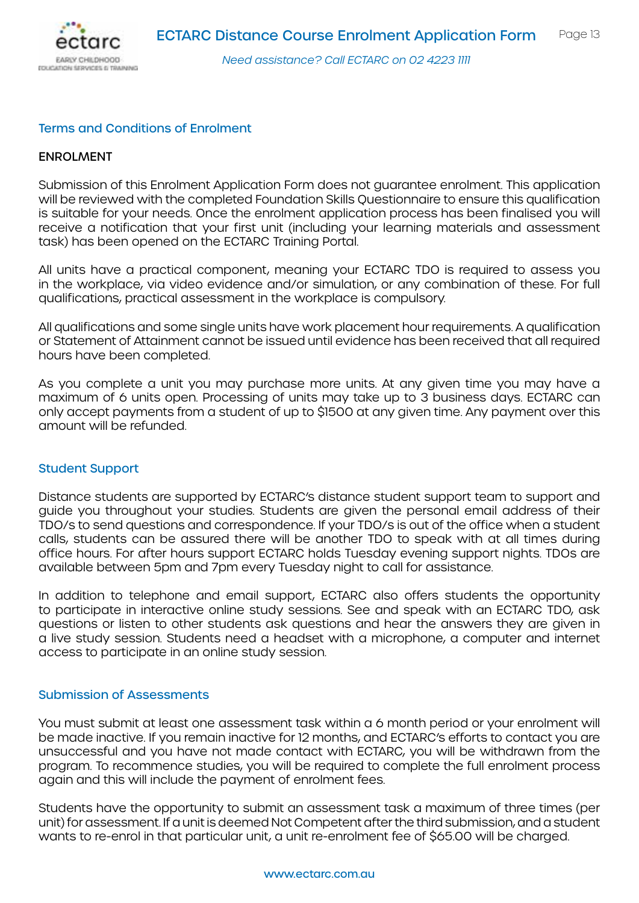

#### Terms and Conditions of Enrolment

#### ENROLMENT

Submission of this Enrolment Application Form does not guarantee enrolment. This application will be reviewed with the completed Foundation Skills Questionnaire to ensure this qualification is suitable for your needs. Once the enrolment application process has been finalised you will receive a notification that your first unit (including your learning materials and assessment task) has been opened on the ECTARC Training Portal.

All units have a practical component, meaning your ECTARC TDO is required to assess you in the workplace, via video evidence and/or simulation, or any combination of these. For full qualifications, practical assessment in the workplace is compulsory.

All qualifications and some single units have work placement hour requirements. A qualification or Statement of Attainment cannot be issued until evidence has been received that all required hours have been completed.

As you complete a unit you may purchase more units. At any given time you may have a maximum of 6 units open. Processing of units may take up to 3 business days. ECTARC can only accept payments from a student of up to \$1500 at any given time. Any payment over this amount will be refunded.

#### Student Support

Distance students are supported by ECTARC's distance student support team to support and guide you throughout your studies. Students are given the personal email address of their TDO/s to send questions and correspondence. If your TDO/s is out of the office when a student calls, students can be assured there will be another TDO to speak with at all times during office hours. For after hours support ECTARC holds Tuesday evening support nights. TDOs are available between 5pm and 7pm every Tuesday night to call for assistance.

In addition to telephone and email support, ECTARC also offers students the opportunity to participate in interactive online study sessions. See and speak with an ECTARC TDO, ask questions or listen to other students ask questions and hear the answers they are given in a live study session. Students need a headset with a microphone, a computer and internet access to participate in an online study session.

#### Submission of Assessments

You must submit at least one assessment task within a 6 month period or your enrolment will be made inactive. If you remain inactive for 12 months, and ECTARC's efforts to contact you are unsuccessful and you have not made contact with ECTARC, you will be withdrawn from the program. To recommence studies, you will be required to complete the full enrolment process again and this will include the payment of enrolment fees.

Students have the opportunity to submit an assessment task a maximum of three times (per unit) for assessment. If a unit is deemed Not Competent after the third submission, and a student wants to re-enrol in that particular unit, a unit re-enrolment fee of \$65.00 will be charged.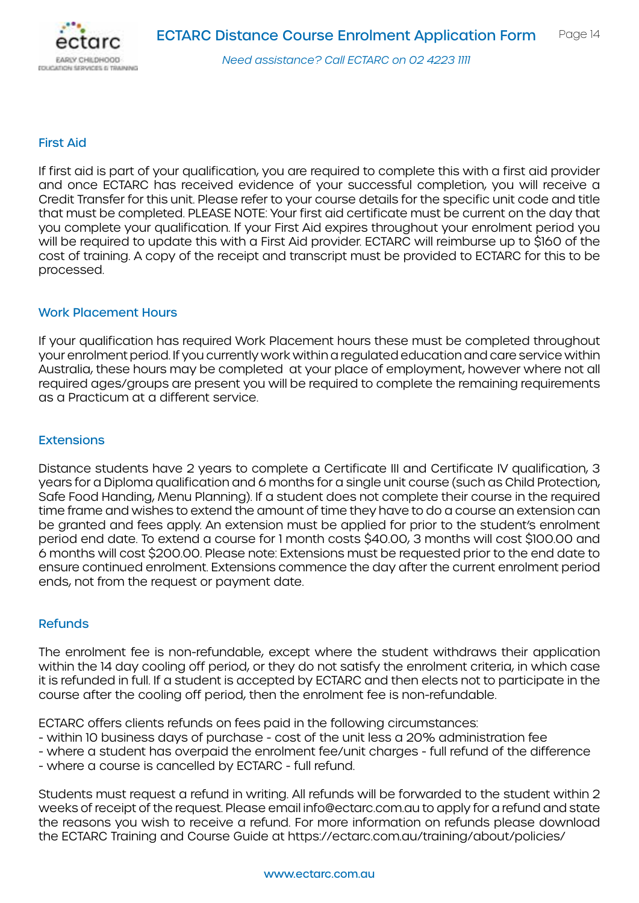

#### First Aid

If first aid is part of your qualification, you are required to complete this with a first aid provider and once ECTARC has received evidence of your successful completion, you will receive a Credit Transfer for this unit. Please refer to your course details for the specific unit code and title that must be completed. PLEASE NOTE: Your first aid certificate must be current on the day that you complete your qualification. If your First Aid expires throughout your enrolment period you will be required to update this with a First Aid provider. ECTARC will reimburse up to \$160 of the cost of training. A copy of the receipt and transcript must be provided to ECTARC for this to be processed.

#### Work Placement Hours

If your qualification has required Work Placement hours these must be completed throughout your enrolment period. If you currently work within a regulated education and care service within Australia, these hours may be completed at your place of employment, however where not all required ages/groups are present you will be required to complete the remaining requirements as a Practicum at a different service.

#### **Extensions**

Distance students have 2 years to complete a Certificate III and Certificate IV qualification, 3 years for a Diploma qualification and 6 months for a single unit course (such as Child Protection, Safe Food Handing, Menu Planning). If a student does not complete their course in the required time frame and wishes to extend the amount of time they have to do a course an extension can be granted and fees apply. An extension must be applied for prior to the student's enrolment period end date. To extend a course for 1 month costs \$40.00, 3 months will cost \$100.00 and 6 months will cost \$200.00. Please note: Extensions must be requested prior to the end date to ensure continued enrolment. Extensions commence the day after the current enrolment period ends, not from the request or payment date.

#### Refunds

The enrolment fee is non-refundable, except where the student withdraws their application within the 14 day cooling off period, or they do not satisfy the enrolment criteria, in which case it is refunded in full. If a student is accepted by ECTARC and then elects not to participate in the course after the cooling off period, then the enrolment fee is non-refundable.

ECTARC offers clients refunds on fees paid in the following circumstances:

- within 10 business days of purchase cost of the unit less a 20% administration fee
- where a student has overpaid the enrolment fee/unit charges full refund of the difference
- where a course is cancelled by ECTARC full refund.

Students must request a refund in writing. All refunds will be forwarded to the student within 2 weeks of receipt of the request. Please email info@ectarc.com.au to apply for a refund and state the reasons you wish to receive a refund. For more information on refunds please download the ECTARC Training and Course Guide at https://ectarc.com.au/training/about/policies/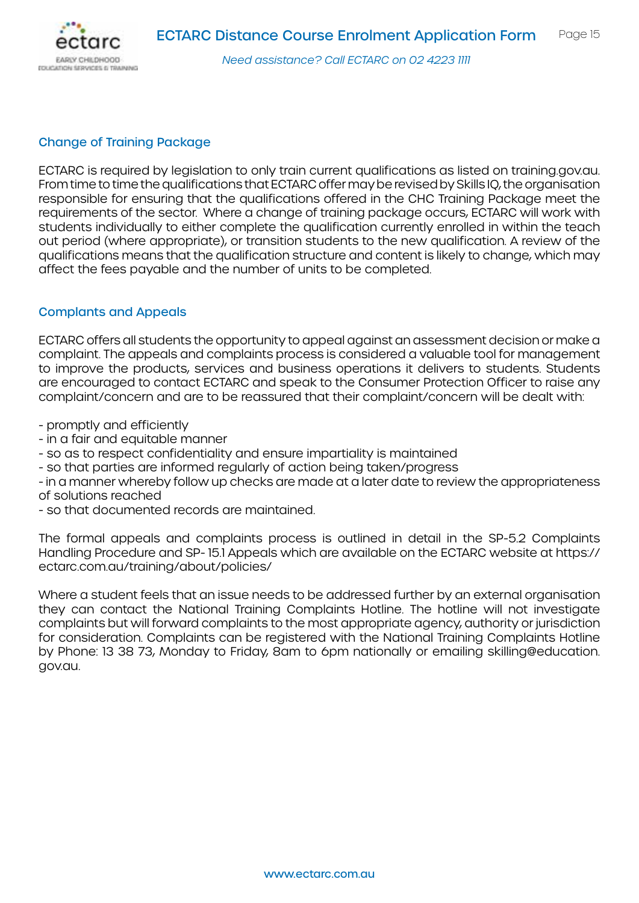

### Change of Training Package

ECTARC is required by legislation to only train current qualifications as listed on training.gov.au. From time to time the qualifications that ECTARC offer may be revised by Skills IQ, the organisation responsible for ensuring that the qualifications offered in the CHC Training Package meet the requirements of the sector. Where a change of training package occurs, ECTARC will work with students individually to either complete the qualification currently enrolled in within the teach out period (where appropriate), or transition students to the new qualification. A review of the qualifications means that the qualification structure and content is likely to change, which may affect the fees payable and the number of units to be completed.

### Complants and Appeals

ECTARC offers all students the opportunity to appeal against an assessment decision or make a complaint. The appeals and complaints process is considered a valuable tool for management to improve the products, services and business operations it delivers to students. Students are encouraged to contact ECTARC and speak to the Consumer Protection Officer to raise any complaint/concern and are to be reassured that their complaint/concern will be dealt with:

- promptly and efficiently
- in a fair and equitable manner
- so as to respect confidentiality and ensure impartiality is maintained
- so that parties are informed regularly of action being taken/progress
- in a manner whereby follow up checks are made at a later date to review the appropriateness of solutions reached
- so that documented records are maintained.

The formal appeals and complaints process is outlined in detail in the SP-5.2 Complaints Handling Procedure and SP- 15.1 Appeals which are available on the ECTARC website at https:// ectarc.com.au/training/about/policies/

Where a student feels that an issue needs to be addressed further by an external organisation they can contact the National Training Complaints Hotline. The hotline will not investigate complaints but will forward complaints to the most appropriate agency, authority or jurisdiction for consideration. Complaints can be registered with the National Training Complaints Hotline by Phone: 13 38 73, Monday to Friday, 8am to 6pm nationally or emailing skilling@education. gov.au.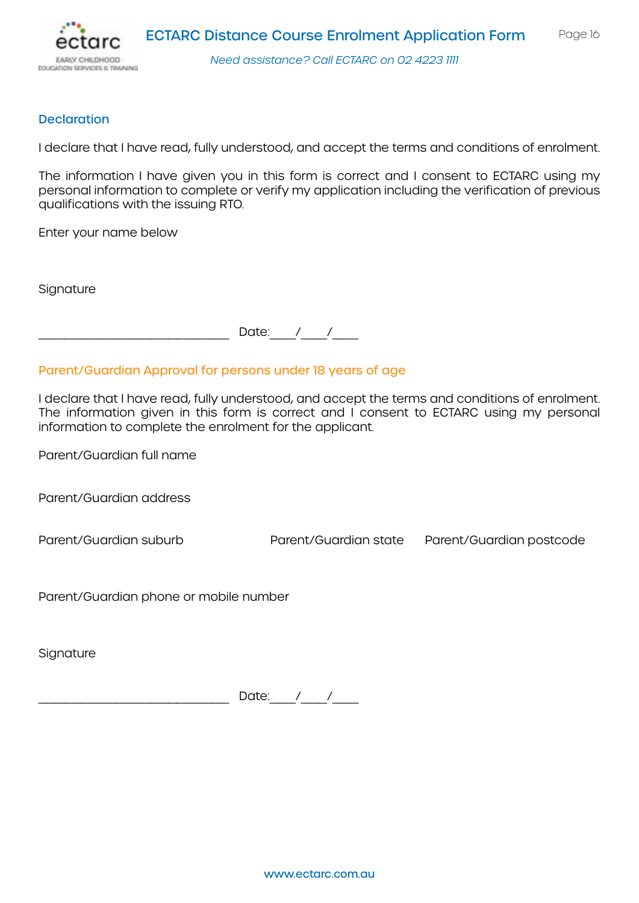

**Declaration** 

I declare that I have read, fully understood, and accept the terms and conditions of enrolment.

The information I have given you in this form is correct and I consent to ECTARC using my personal information to complete or verify my application including the verification of previous qualifications with the issuing RTO.

Enter your name below

**Signature** 

Date:  $/$  /

Parent/Guardian Approval for persons under 18 years of age

I declare that I have read, fully understood, and accept the terms and conditions of enrolment. The information given in this form is correct and I consent to ECTARC using my personal information to complete the enrolment for the applicant.

Parent/Guardian full name

Parent/Guardian address

Parent/Guardian suburb Parent/Guardian state Parent/Guardian postcode

Parent/Guardian phone or mobile number

**Signature** 

Date:  $1/$   $1/$